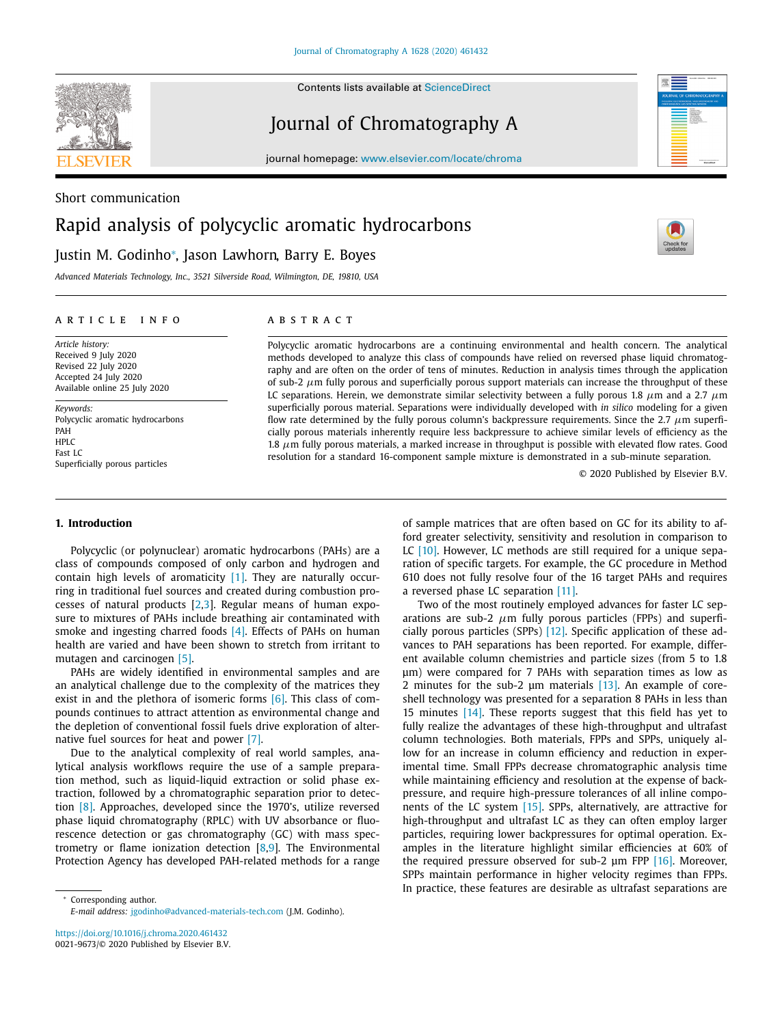

Contents lists available at [ScienceDirect](http://www.ScienceDirect.com)

journal homepage: [www.elsevier.com/locate/chroma](http://www.elsevier.com/locate/chroma)

# Short communication Rapid analysis of polycyclic aromatic hydrocarbons Justin M. Godinho<sup>∗</sup> , Jason Lawhorn, Barry E. Boyes



*Advanced Materials Technology, Inc., 3521 Silverside Road, Wilmington, DE, 19810, USA*

# a r t i c l e i n f o

*Article history:* Received 9 July 2020 Revised 22 July 2020 Accepted 24 July 2020 Available online 25 July 2020

*Keywords:* Polycyclic aromatic hydrocarbons PAH  $HPIC$ Fast LC Superficially porous particles

# A B S T R A C T

Polycyclic aromatic hydrocarbons are a continuing environmental and health concern. The analytical methods developed to analyze this class of compounds have relied on reversed phase liquid chromatography and are often on the order of tens of minutes. Reduction in analysis times through the application of sub-2  $\mu$ m fully porous and superficially porous support materials can increase the throughput of these LC separations. Herein, we demonstrate similar selectivity between a fully porous 1.8  $\mu$ m and a 2.7  $\mu$ m superficially porous material. Separations were individually developed with *in silico* modeling for a given flow rate determined by the fully porous column's backpressure requirements. Since the 2.7 μm superficially porous materials inherently require less backpressure to achieve similar levels of efficiency as the 1.8  $\mu$ m fully porous materials, a marked increase in throughput is possible with elevated flow rates. Good resolution for a standard 16-component sample mixture is demonstrated in a sub-minute separation.

© 2020 Published by Elsevier B.V.

# **1. Introduction**

Polycyclic (or polynuclear) aromatic hydrocarbons (PAHs) are a class of compounds composed of only carbon and hydrogen and contain high levels of aromaticity  $[1]$ . They are naturally occurring in traditional fuel sources and created during combustion processes of natural products [\[2,3\]](#page-4-0). Regular means of human exposure to mixtures of PAHs include breathing air contaminated with smoke and ingesting charred foods [\[4\].](#page-4-0) Effects of PAHs on human health are varied and have been shown to stretch from irritant to mutagen and carcinogen [\[5\].](#page-4-0)

PAHs are widely identified in environmental samples and are an analytical challenge due to the complexity of the matrices they exist in and the plethora of isomeric forms  $[6]$ . This class of compounds continues to attract attention as environmental change and the depletion of conventional fossil fuels drive exploration of alternative fuel sources for heat and power [\[7\].](#page-4-0)

Due to the analytical complexity of real world samples, analytical analysis workflows require the use of a sample preparation method, such as liquid-liquid extraction or solid phase extraction, followed by a chromatographic separation prior to detection [\[8\].](#page-4-0) Approaches, developed since the 1970's, utilize reversed phase liquid chromatography (RPLC) with UV absorbance or fluorescence detection or gas chromatography (GC) with mass spectrometry or flame ionization detection [\[8,9\]](#page-4-0). The Environmental Protection Agency has developed PAH-related methods for a range

<https://doi.org/10.1016/j.chroma.2020.461432> 0021-9673/© 2020 Published by Elsevier B.V. of sample matrices that are often based on GC for its ability to afford greater selectivity, sensitivity and resolution in comparison to LC [\[10\].](#page-4-0) However, LC methods are still required for a unique separation of specific targets. For example, the GC procedure in Method 610 does not fully resolve four of the 16 target PAHs and requires a reversed phase LC separation [\[11\].](#page-4-0)

Two of the most routinely employed advances for faster LC separations are sub-2  $\mu$ m fully porous particles (FPPs) and superficially porous particles (SPPs) [\[12\].](#page-4-0) Specific application of these advances to PAH separations has been reported. For example, different available column chemistries and particle sizes (from 5 to 1.8 μm) were compared for 7 PAHs with separation times as low as 2 minutes for the sub-2 μm materials [\[13\].](#page-4-0) An example of coreshell technology was presented for a separation 8 PAHs in less than 15 minutes [\[14\].](#page-4-0) These reports suggest that this field has yet to fully realize the advantages of these high-throughput and ultrafast column technologies. Both materials, FPPs and SPPs, uniquely allow for an increase in column efficiency and reduction in experimental time. Small FPPs decrease chromatographic analysis time while maintaining efficiency and resolution at the expense of backpressure, and require high-pressure tolerances of all inline components of the LC system [\[15\].](#page-4-0) SPPs, alternatively, are attractive for high-throughput and ultrafast LC as they can often employ larger particles, requiring lower backpressures for optimal operation. Examples in the literature highlight similar efficiencies at 60% of the required pressure observed for sub-2 μm FPP [\[16\].](#page-4-0) Moreover, SPPs maintain performance in higher velocity regimes than FPPs. In practice, these features are desirable as ultrafast separations are



Corresponding author. *E-mail address:* [jgodinho@advanced-materials-tech.com](mailto:jgodinho@advanced-materials-tech.com) (J.M. Godinho).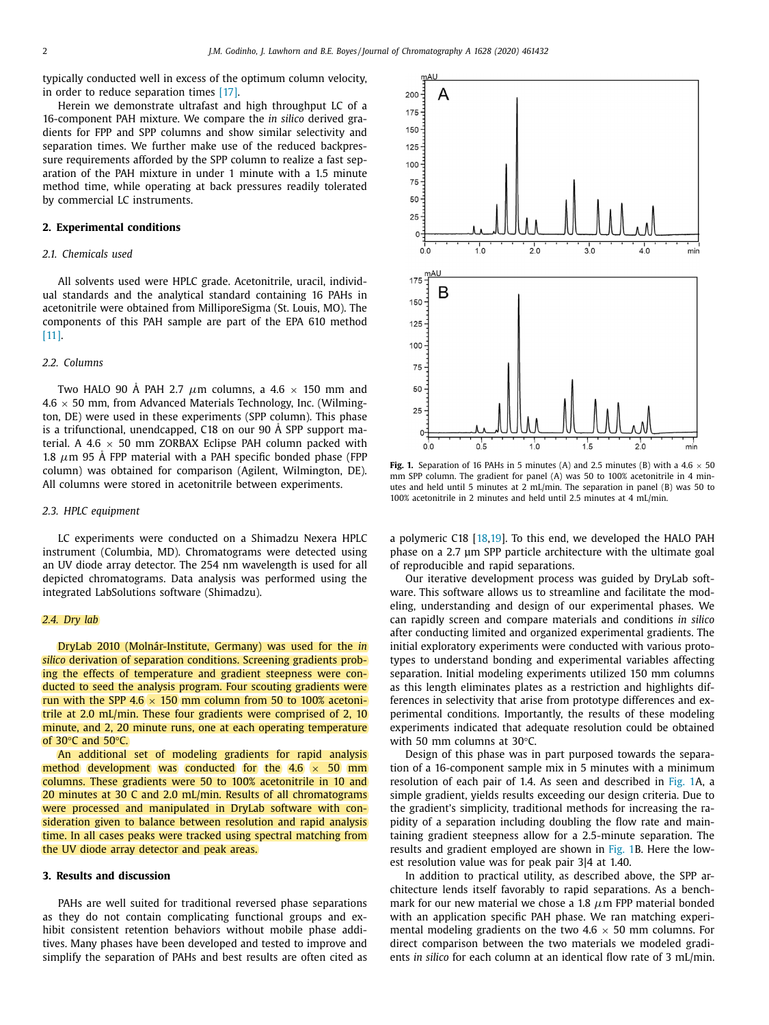typically conducted well in excess of the optimum column velocity, in order to reduce separation times [\[17\].](#page-4-0)

Herein we demonstrate ultrafast and high throughput LC of a 16-component PAH mixture. We compare the *in silico* derived gradients for FPP and SPP columns and show similar selectivity and separation times. We further make use of the reduced backpressure requirements afforded by the SPP column to realize a fast separation of the PAH mixture in under 1 minute with a 1.5 minute method time, while operating at back pressures readily tolerated by commercial LC instruments.

## **2. Experimental conditions**

# *2.1. Chemicals used*

All solvents used were HPLC grade. Acetonitrile, uracil, individual standards and the analytical standard containing 16 PAHs in acetonitrile were obtained from MilliporeSigma (St. Louis, MO). The components of this PAH sample are part of the EPA 610 method [\[11\].](#page-4-0)

# *2.2. Columns*

Two HALO 90 Å PAH 2.7  $\mu$ m columns, a 4.6  $\times$  150 mm and  $4.6 \times 50$  mm, from Advanced Materials Technology, Inc. (Wilmington, DE) were used in these experiments (SPP column). This phase is a trifunctional, unendcapped, C18 on our 90 Å SPP support material. A 4.6  $\times$  50 mm ZORBAX Eclipse PAH column packed with 1.8  $\mu$ m 95 Å FPP material with a PAH specific bonded phase (FPP column) was obtained for comparison (Agilent, Wilmington, DE). All columns were stored in acetonitrile between experiments.

## *2.3. HPLC equipment*

LC experiments were conducted on a Shimadzu Nexera HPLC instrument (Columbia, MD). Chromatograms were detected using an UV diode array detector. The 254 nm wavelength is used for all depicted chromatograms. Data analysis was performed using the integrated LabSolutions software (Shimadzu).

## *2.4. Dry lab*

DryLab 2010 (Molnár-Institute, Germany) was used for the *in silico* derivation of separation conditions. Screening gradients probing the effects of temperature and gradient steepness were conducted to seed the analysis program. Four scouting gradients were run with the SPP 4.6  $\times$  150 mm column from 50 to 100% acetonitrile at 2.0 mL/min. These four gradients were comprised of 2, 10 minute, and 2, 20 minute runs, one at each operating temperature of 30°C and 50°C.

An additional set of modeling gradients for rapid analysis method development was conducted for the 4.6  $\times$  50 mm columns. These gradients were 50 to 100% acetonitrile in 10 and 20 minutes at 30 C and 2.0 mL/min. Results of all chromatograms were processed and manipulated in DryLab software with consideration given to balance between resolution and rapid analysis time. In all cases peaks were tracked using spectral matching from the UV diode array detector and peak areas.

## **3. Results and discussion**

PAHs are well suited for traditional reversed phase separations as they do not contain complicating functional groups and exhibit consistent retention behaviors without mobile phase additives. Many phases have been developed and tested to improve and simplify the separation of PAHs and best results are often cited as



**Fig. 1.** Separation of 16 PAHs in 5 minutes (A) and 2.5 minutes (B) with a  $4.6 \times 50$ mm SPP column. The gradient for panel (A) was 50 to 100% acetonitrile in 4 minutes and held until 5 minutes at 2 mL/min. The separation in panel (B) was 50 to 100% acetonitrile in 2 minutes and held until 2.5 minutes at 4 mL/min.

a polymeric C18 [\[18,19\]](#page-4-0). To this end, we developed the HALO PAH phase on a 2.7 μm SPP particle architecture with the ultimate goal of reproducible and rapid separations.

Our iterative development process was guided by DryLab software. This software allows us to streamline and facilitate the modeling, understanding and design of our experimental phases. We can rapidly screen and compare materials and conditions *in silico* after conducting limited and organized experimental gradients. The initial exploratory experiments were conducted with various prototypes to understand bonding and experimental variables affecting separation. Initial modeling experiments utilized 150 mm columns as this length eliminates plates as a restriction and highlights differences in selectivity that arise from prototype differences and experimental conditions. Importantly, the results of these modeling experiments indicated that adequate resolution could be obtained with 50 mm columns at 30°C.

Design of this phase was in part purposed towards the separation of a 16-component sample mix in 5 minutes with a minimum resolution of each pair of 1.4. As seen and described in Fig. 1A, a simple gradient, yields results exceeding our design criteria. Due to the gradient's simplicity, traditional methods for increasing the rapidity of a separation including doubling the flow rate and maintaining gradient steepness allow for a 2.5-minute separation. The results and gradient employed are shown in Fig. 1B. Here the lowest resolution value was for peak pair 3|4 at 1.40.

In addition to practical utility, as described above, the SPP architecture lends itself favorably to rapid separations. As a benchmark for our new material we chose a 1.8  $\mu$ m FPP material bonded with an application specific PAH phase. We ran matching experimental modeling gradients on the two  $4.6 \times 50$  mm columns. For direct comparison between the two materials we modeled gradients *in silico* for each column at an identical flow rate of 3 mL/min.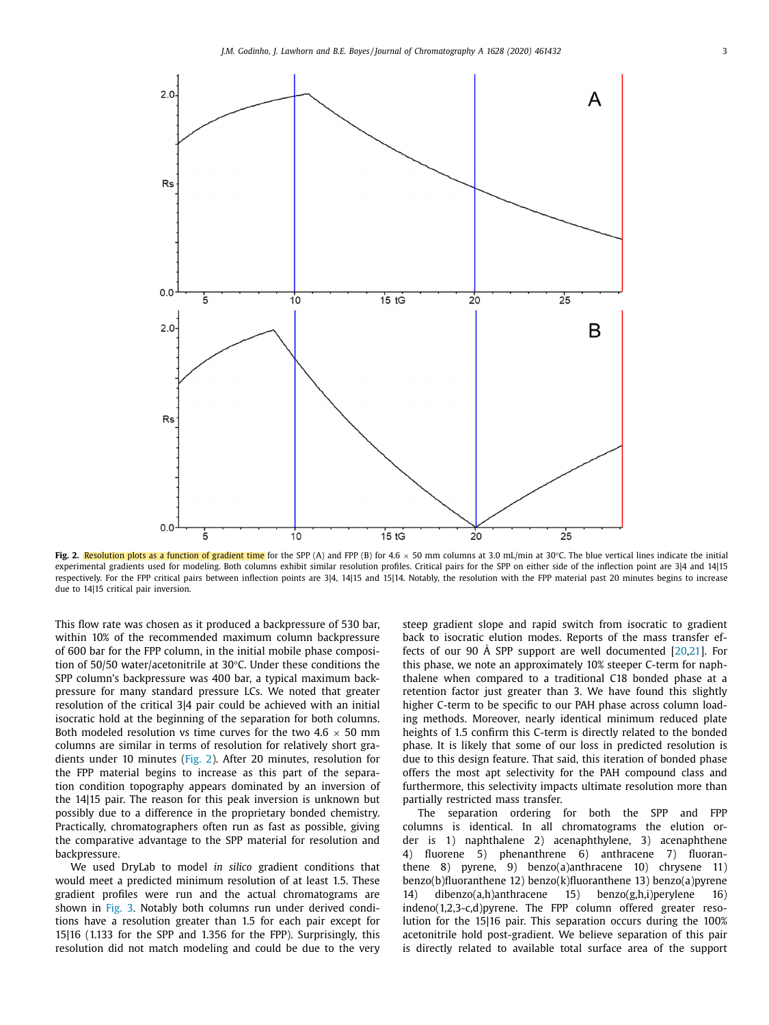

Fig. 2. Resolution plots as a function of gradient time for the SPP (A) and FPP (B) for 4.6  $\times$  50 mm columns at 3.0 mL/min at 30°C. The blue vertical lines indicate the initial experimental gradients used for modeling. Both columns exhibit similar resolution profiles. Critical pairs for the SPP on either side of the inflection point are 3|4 and 14|15 respectively. For the FPP critical pairs between inflection points are 3|4, 14|15 and 15|14. Notably, the resolution with the FPP material past 20 minutes begins to increase due to 14|15 critical pair inversion.

This flow rate was chosen as it produced a backpressure of 530 bar, within 10% of the recommended maximum column backpressure of 600 bar for the FPP column, in the initial mobile phase composition of 50/50 water/acetonitrile at 30°C. Under these conditions the SPP column's backpressure was 400 bar, a typical maximum backpressure for many standard pressure LCs. We noted that greater resolution of the critical 3|4 pair could be achieved with an initial isocratic hold at the beginning of the separation for both columns. Both modeled resolution vs time curves for the two 4.6  $\times$  50 mm columns are similar in terms of resolution for relatively short gradients under 10 minutes (Fig. 2). After 20 minutes, resolution for the FPP material begins to increase as this part of the separation condition topography appears dominated by an inversion of the 14|15 pair. The reason for this peak inversion is unknown but possibly due to a difference in the proprietary bonded chemistry. Practically, chromatographers often run as fast as possible, giving the comparative advantage to the SPP material for resolution and backpressure.

We used DryLab to model *in silico* gradient conditions that would meet a predicted minimum resolution of at least 1.5. These gradient profiles were run and the actual chromatograms are shown in [Fig.](#page-3-0) 3. Notably both columns run under derived conditions have a resolution greater than 1.5 for each pair except for 15|16 (1.133 for the SPP and 1.356 for the FPP). Surprisingly, this resolution did not match modeling and could be due to the very steep gradient slope and rapid switch from isocratic to gradient back to isocratic elution modes. Reports of the mass transfer effects of our 90 Å SPP support are well documented  $[20,21]$ . For this phase, we note an approximately 10% steeper C-term for naphthalene when compared to a traditional C18 bonded phase at a retention factor just greater than 3. We have found this slightly higher C-term to be specific to our PAH phase across column loading methods. Moreover, nearly identical minimum reduced plate heights of 1.5 confirm this C-term is directly related to the bonded phase. It is likely that some of our loss in predicted resolution is due to this design feature. That said, this iteration of bonded phase offers the most apt selectivity for the PAH compound class and furthermore, this selectivity impacts ultimate resolution more than partially restricted mass transfer.

The separation ordering for both the SPP and FPP columns is identical. In all chromatograms the elution order is 1) naphthalene 2) acenaphthylene, 3) acenaphthene 4) fluorene 5) phenanthrene 6) anthracene 7) fluoranthene 8) pyrene, 9) benzo(a)anthracene 10) chrysene 11) benzo(b)fluoranthene 12) benzo(k)fluoranthene 13) benzo(a)pyrene 14) dibenzo(a,h)anthracene 15) benzo(g,h,i)perylene 16) indeno(1,2,3-c,d)pyrene. The FPP column offered greater resolution for the 15|16 pair. This separation occurs during the 100% acetonitrile hold post-gradient. We believe separation of this pair is directly related to available total surface area of the support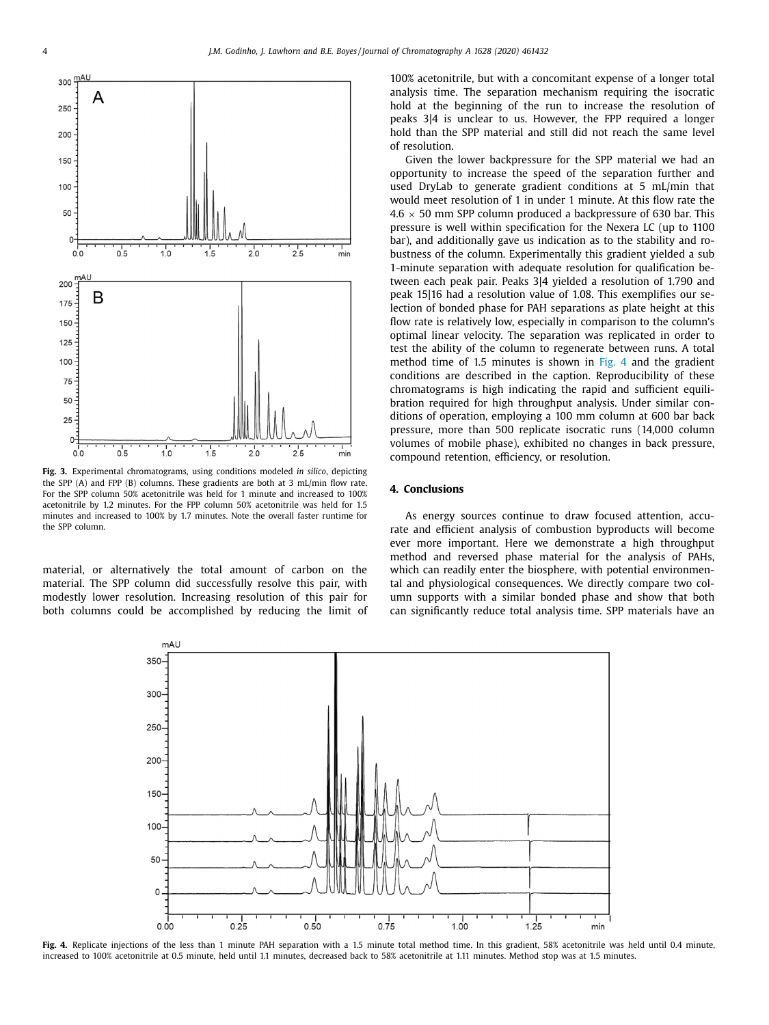<span id="page-3-0"></span>

**Fig. 3.** Experimental chromatograms, using conditions modeled *in silico*, depicting the SPP (A) and FPP (B) columns. These gradients are both at 3 mL/min flow rate. For the SPP column 50% acetonitrile was held for 1 minute and increased to 100% acetonitrile by 1.2 minutes. For the FPP column 50% acetonitrile was held for 1.5 minutes and increased to 100% by 1.7 minutes. Note the overall faster runtime for the SPP column.

material, or alternatively the total amount of carbon on the material. The SPP column did successfully resolve this pair, with modestly lower resolution. Increasing resolution of this pair for both columns could be accomplished by reducing the limit of 100% acetonitrile, but with a concomitant expense of a longer total analysis time. The separation mechanism requiring the isocratic hold at the beginning of the run to increase the resolution of peaks 3|4 is unclear to us. However, the FPP required a longer hold than the SPP material and still did not reach the same level of resolution.

Given the lower backpressure for the SPP material we had an opportunity to increase the speed of the separation further and used DryLab to generate gradient conditions at 5 mL/min that would meet resolution of 1 in under 1 minute. At this flow rate the  $4.6 \times 50$  mm SPP column produced a backpressure of 630 bar. This pressure is well within specification for the Nexera LC (up to 1100 bar), and additionally gave us indication as to the stability and robustness of the column. Experimentally this gradient yielded a sub 1-minute separation with adequate resolution for qualification between each peak pair. Peaks 3|4 yielded a resolution of 1.790 and peak 15|16 had a resolution value of 1.08. This exemplifies our selection of bonded phase for PAH separations as plate height at this flow rate is relatively low, especially in comparison to the column's optimal linear velocity. The separation was replicated in order to test the ability of the column to regenerate between runs. A total method time of 1.5 minutes is shown in Fig. 4 and the gradient conditions are described in the caption. Reproducibility of these chromatograms is high indicating the rapid and sufficient equilibration required for high throughput analysis. Under similar conditions of operation, employing a 100 mm column at 600 bar back pressure, more than 500 replicate isocratic runs (14,000 column volumes of mobile phase), exhibited no changes in back pressure, compound retention, efficiency, or resolution.

### **4. Conclusions**

As energy sources continue to draw focused attention, accurate and efficient analysis of combustion byproducts will become ever more important. Here we demonstrate a high throughput method and reversed phase material for the analysis of PAHs, which can readily enter the biosphere, with potential environmental and physiological consequences. We directly compare two column supports with a similar bonded phase and show that both can significantly reduce total analysis time. SPP materials have an



Fig. 4. Replicate injections of the less than 1 minute PAH separation with a 1.5 minute total method time. In this gradient, 58% acetonitrile was held until 0.4 minute, increased to 100% acetonitrile at 0.5 minute, held until 1.1 minutes, decreased back to 58% acetonitrile at 1.11 minutes. Method stop was at 1.5 minutes.